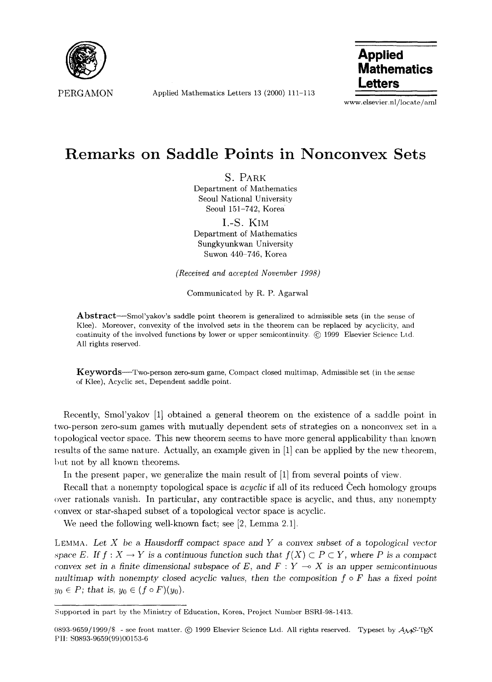

PERGAMON Applied **Mathematics Letters** 13 (2000) 111-113



www.elsevier.nl/locate/aml

## **Remarks on Saddle Points in Nonconvex Sets**

S. PARK Department of Mathematics

Seoul National University Seoul 151-742, Korea

I.-S. KIM Department of **Mathematics**  Sungkyunkwan University Suwon 440-746, Korea

*(Received and accepted November 1998)* 

Communicated by R. P. Agarwal

Abstract—Smol'yakov's saddle point theorem is generalized to admissible sets (in the sense of Klee). Moreover, convexity of the involved sets in the theorem can be replaced by acyclicity, and continuity of the involved functions by lower or upper semicontinuity. @ 1999 Elsevier Science Ltd. All rights reserved.

Keywords-Two-person zero-sum game, Compact closed multimap, Admissible set (in the sense of Klee), Acyclic set, Dependent saddle point.

Recently, Smol'yakov [1] obtained a general theorem on **the existence** of a saddle point in two-person zero-sum games with mutually dependent sets of strategies on a nonconvex set in a topological vector space. This new theorem seems to have more general applicability than known results of the same nature. Actually, an example given in [1] can be applied by the new theorem, but not by all known theorems.

In the present paper, we generalize the main result of [1] from several points of view.

Recall that a nonempty topological space is *acyclic* if all of its reduced Cech homology groups over rationals vanish. In particular, any contractible space is acyclic, and thus, any nonempty convex or star-shaped subset of a topological vector space is acyclic.

We need the following well-known fact; see [2, Lemma 2.1].

LEMMA. *Let X be a Hausdorff compact space and Y a convex subset of a topological vector*  space E. If  $f: X \to Y$  is a continuous function such that  $f(X) \subset P \subset Y$ , where P is a compact *convex set in a finite dimensional subspace of E, and F :*  $Y \rightarrow X$  *is an upper semicontinuous multimap with nonempty closed acyclic values, then the composition*  $f \circ F$  *has a fixed point*  $y_0 \in P$ ; that is,  $y_0 \in (f \circ F)(y_0)$ .

Supported in part by the Ministry of Education, Korea, Project Number BSRI-98-1413.

<sup>0893-9659/1999/\$ -</sup> see front matter. © 1999 Elsevier Science Ltd. All rights reserved. Typeset by  $\mathcal{A}_{\mathcal{M}}$ S-TpX **PII:** S0893-9659(99)00153-6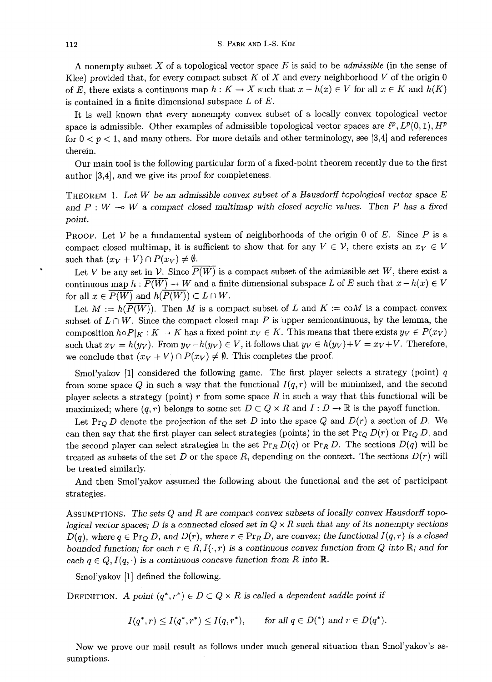A nonempty subset X of a topological vector space E is said to be *admissible* (in the sense of Klee) provided that, for every compact subset  $K$  of  $X$  and every neighborhood  $V$  of the origin 0 of E, there exists a continuous map  $h: K \to X$  such that  $x - h(x) \in V$  for all  $x \in K$  and  $h(K)$ is contained in a finite dimensional subspace  $L$  of  $E$ .

It is well known that every nonempty convex subset of a locally convex topological vector space is admissible. Other examples of admissible topological vector spaces are  $\ell^p$ ,  $L^p(0,1)$ ,  $H^p$ for  $0 < p < 1$ , and many others. For more details and other terminology, see [3,4] and references therein.

Our main tool is the following particular form of a fixed-point theorem recently due to the first author [3,4], and we give its proof for completeness.

THEOREM 1. *Let W be an admissible convex subset of a Hausdorff topological vector space E*  and  $P: W \to W$  a compact closed multimap with closed acyclic values. Then P has a fixed *point.* 

PROOF. Let  $V$  be a fundamental system of neighborhoods of the origin 0 of E. Since P is a compact closed multimap, it is sufficient to show that for any  $V \in \mathcal{V}$ , there exists an  $x_V \in V$ such that  $(x_V + V) \cap P(x_V) \neq \emptyset$ .

Let V be any set in V. Since  $\overline{P(W)}$  is a compact subset of the admissible set W, there exist a continuous map  $h: \overline{P(W)} \to W$  and a finite dimensional subspace L of E such that  $x - h(x) \in V$ for all  $x \in \overline{P(W)}$  and  $h(\overline{P(W)}) \subset L \cap W$ .

Let  $M := h(\overline{P(W)})$ . Then M is a compact subset of L and  $K := \text{co}M$  is a compact convex subset of  $L \cap W$ . Since the compact closed map P is upper semicontinuous, by the lemma, the composition  $h \circ P|_K : K \to K$  has a fixed point  $x_V \in K$ . This means that there exists  $y_V \in P(x_V)$ such that  $x_V = h(y_V)$ . From  $y_V - h(y_V) \in V$ , it follows that  $y_V \in h(y_V) + V = x_V + V$ . Therefore, we conclude that  $(x_V + V) \cap P(x_V) \neq \emptyset$ . This completes the proof.

Smol'yakov [1] considered the following game. The first player selects a strategy (point) q from some space  $Q$  in such a way that the functional  $I(q, r)$  will be minimized, and the second player selects a strategy (point)  $r$  from some space  $R$  in such a way that this functional will be maximized; where  $(q, r)$  belongs to some set  $D \subset Q \times R$  and  $I : D \to \mathbb{R}$  is the payoff function.

Let Pr<sub>Q</sub> D denote the projection of the set D into the space Q and  $D(r)$  a section of D. We can then say that the first player can select strategies (points) in the set  $Pr_Q D(r)$  or  $Pr_Q D$ , and the second player can select strategies in the set  $Pr_R D(q)$  or  $Pr_R D$ . The sections  $D(q)$  will be treated as subsets of the set D or the space R, depending on the context. The sections  $D(r)$  will be treated similarly.

And then Smol'yakov assumed the following about the functional and the set of participant strategies.

ASSUMPTIONS. *The sets Q and R are compact convex subsets of locally convex Hausdorff topological vector spaces; D is a connected closed set in*  $Q \times R$  *such that any of its nonempty sections*  $D(q)$ , where  $q \in Pr_Q D$ , and  $D(r)$ , where  $r \in Pr_R D$ , are convex; the functional  $I(q, r)$  is a closed *bounded function; for each*  $r \in R$ *,*  $I(\cdot, r)$  *is a continuous convex function from Q into* R; and for each  $q \in Q, I(q, \cdot)$  is a continuous concave function from R into R.

Smol'yakov [1] defined the following.

DEFINITION. A point  $(q^*, r^*) \in D \subset Q \times R$  is called a dependent saddle point if

$$
I(q^*,r) \leq I(q^*,r^*) \leq I(q,r^*), \qquad \text{for all } q \in D(*) \text{ and } r \in D(q^*).
$$

Now we prove our mail result as follows under much general situation than Smol'yakov's assumptions.